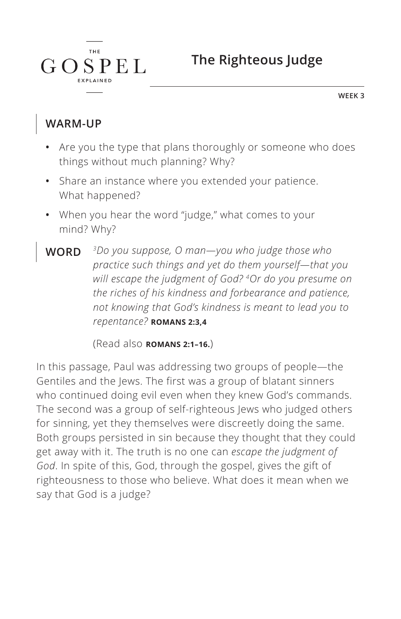**The Righteous Judge**

**WEEK 3**

#### **WARM-UP**

 $G \Omega$ 

T H F

 $SPEL$ 

- **•** Are you the type that plans thoroughly or someone who does things without much planning? Why?
- **•** Share an instance where you extended your patience. What happened?
- **•** When you hear the word "judge," what comes to your mind? Why?
- **WORD** *3Do you suppose, O man—you who judge those who practice such things and yet do them yourself—that you will escape the judgment of God? 4Or do you presume on the riches of his kindness and forbearance and patience, not knowing that God's kindness is meant to lead you to repentance? ^***ROMANS 2:3,4**

(Read also **ROMANS 2:1-16.**)

In this passage, Paul was addressing two groups of people—the Gentiles and the Jews. The first was a group of blatant sinners who continued doing evil even when they knew God's commands. The second was a group of self-righteous Jews who judged others for sinning, yet they themselves were discreetly doing the same. Both groups persisted in sin because they thought that they could get away with it. The truth is no one can *escape the judgment of God*. In spite of this, God, through the gospel, gives the gift of righteousness to those who believe. What does it mean when we say that God is a judge?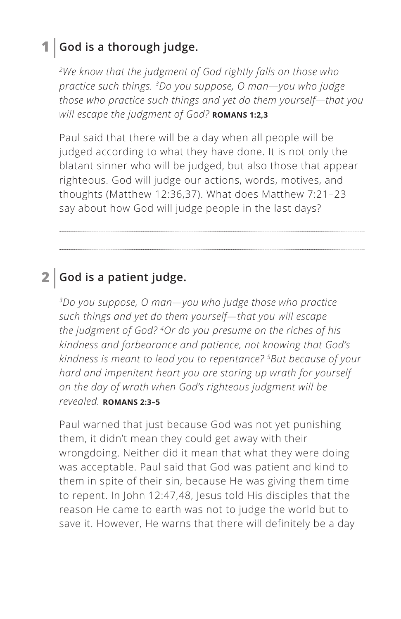### **1 God is a thorough judge.**

*2We know that the judgment of God rightly falls on those who practice such things. 3Do you suppose, O man—you who judge those who practice such things and yet do them yourself—that you will escape the judgment of God? ^***ROMANS 1:2,3**

Paul said that there will be a day when all people will be judged according to what they have done. It is not only the blatant sinner who will be judged, but also those that appear righteous. God will judge our actions, words, motives, and thoughts (Matthew 12:36,37). What does Matthew 7:21–23 say about how God will judge people in the last days?

### **2 God is a patient judge.**

*3Do you suppose, O man—you who judge those who practice such things and yet do them yourself—that you will escape the judgment of God? 4Or do you presume on the riches of his kindness and forbearance and patience, not knowing that God's kindness is meant to lead you to repentance? 5But because of your hard and impenitent heart you are storing up wrath for yourself on the day of wrath when God's righteous judgment will be revealed. ^***ROMANS 2:3–5**

Paul warned that just because God was not yet punishing them, it didn't mean they could get away with their wrongdoing. Neither did it mean that what they were doing was acceptable. Paul said that God was patient and kind to them in spite of their sin, because He was giving them time to repent. In John 12:47,48, Jesus told His disciples that the reason He came to earth was not to judge the world but to save it. However, He warns that there will definitely be a day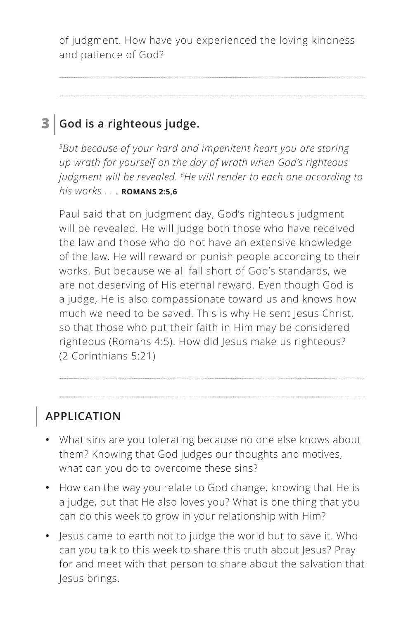of judgment. How have you experienced the loving-kindness and patience of God?

## **3 God is a righteous judge.**

*5But because of your hard and impenitent heart you are storing up wrath for yourself on the day of wrath when God's righteous judgment will be revealed. 6He will render to each one according to his works . . . ^***ROMANS 2:5,6**

Paul said that on judgment day, God's righteous judgment will be revealed. He will judge both those who have received the law and those who do not have an extensive knowledge of the law. He will reward or punish people according to their works. But because we all fall short of God's standards, we are not deserving of His eternal reward. Even though God is a judge, He is also compassionate toward us and knows how much we need to be saved. This is why He sent Jesus Christ, so that those who put their faith in Him may be considered righteous (Romans 4:5). How did Jesus make us righteous? (2 Corinthians 5:21)

**APPLICATION**

- **•** What sins are you tolerating because no one else knows about them? Knowing that God judges our thoughts and motives, what can you do to overcome these sins?
- **•** How can the way you relate to God change, knowing that He is a judge, but that He also loves you? What is one thing that you can do this week to grow in your relationship with Him?
- **•** Jesus came to earth not to judge the world but to save it. Who can you talk to this week to share this truth about Jesus? Pray for and meet with that person to share about the salvation that Jesus brings.